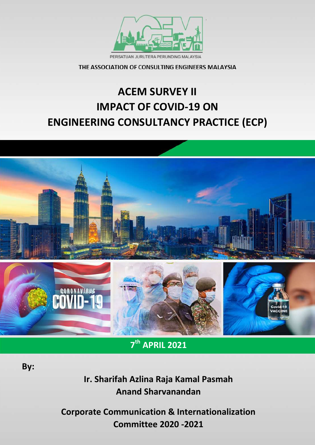

PERSATUAN JURUTERA PERUNDING MALAYSIA

THE ASSOCIATION OF CONSULTING ENGINEERS MALAYSIA

# **ACEM SURVEY II IMPACT OF COVID-19 ON ENGINEERING CONSULTANCY PRACTICE (ECP)**



**7 th APRIL 2021**

 **By:**

**Ir. Sharifah Azlina Raja Kamal Pasmah Anand Sharvanandan**

**Corporate Communication & Internationalization Committee 2020 -2021**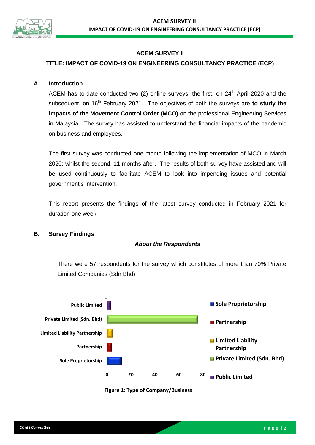

# **ACEM SURVEY II**

# **TITLE: IMPACT OF COVID-19 ON ENGINEERING CONSULTANCY PRACTICE (ECP)**

## **A. Introduction**

ACEM has to-date conducted two  $(2)$  online surveys, the first, on  $24<sup>th</sup>$  April 2020 and the subsequent, on 16<sup>th</sup> February 2021. The objectives of both the surveys are **to study the impacts of the Movement Control Order (MCO)** on the professional Engineering Services in Malaysia. The survey has assisted to understand the financial impacts of the pandemic on business and employees.

The first survey was conducted one month following the implementation of MCO in March 2020; whilst the second, 11 months after. The results of both survey have assisted and will be used continuously to facilitate ACEM to look into impending issues and potential government's intervention.

This report presents the findings of the latest survey conducted in February 2021 for duration one week

## **B. Survey Findings**

## *About the Respondents*

There were 57 respondents for the survey which constitutes of more than 70% Private Limited Companies (Sdn Bhd)



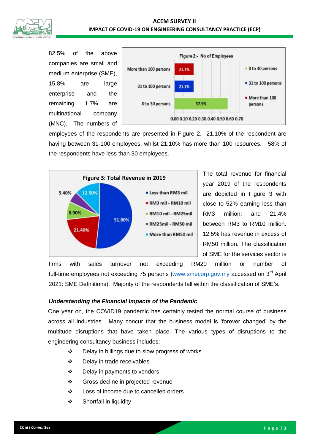

82.5% of the above companies are small and medium enterprise (SME), 15.8% are large enterprise and the remaining 1.7% are multinational company (MNC). The numbers of



employees of the respondents are presented in Figure 2. 21.10% of the respondent are having between 31-100 employees, whilst 21.10% has more than 100 resources. 58% of the respondents have less than 30 employees.



The total revenue for financial year 2019 of the respondents are depicted in Figure 3 with close to 52% earning less than RM3 million; and 21.4% between RM3 to RM10 million. 12.5% has revenue in excess of RM50 million. The classification of SME for the services sector is

firms with sales turnover not exceeding RM20 million or number of full-time employees not exceeding 75 persons [\(www.smecorp.gov.my](http://www.smecorp.gov.my/) accessed on 3<sup>rd</sup> April 2021: SME Definitions). Majority of the respondents fall within the classification of SME's.

## *Understanding the Financial Impacts of the Pandemic*

One year on, the COVID19 pandemic has certainly tested the normal course of business across all industries. Many concur that the business model is 'forever changed' by the multitude disruptions that have taken place. The various types of disruptions to the engineering consultancy business includes:

- Delay in billings due to slow progress of works
- Delay in trade receivables
- Delay in payments to vendors
- Gross decline in projected revenue
- ❖ Loss of income due to cancelled orders
- Shortfall in liquidity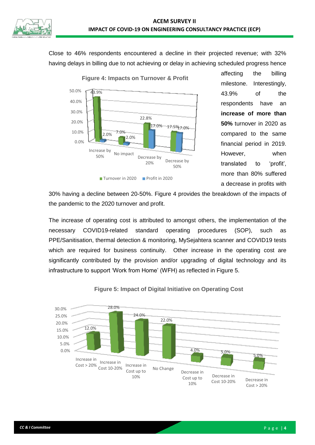

Close to 46% respondents encountered a decline in their projected revenue; with 32% having delays in billing due to not achieving or delay in achieving scheduled progress hence



affecting the billing milestone. Interestingly, 43.9% of the respondents have an **increase of more than 50%** turnover in 2020 as compared to the same financial period in 2019. However, when translated to 'profit', more than 80% suffered a decrease in profits with

30% having a decline between 20-50%. Figure 4 provides the breakdown of the impacts of the pandemic to the 2020 turnover and profit.

The increase of operating cost is attributed to amongst others, the implementation of the necessary COVID19-related standard operating procedures (SOP), such as PPE/Sanitisation, thermal detection & monitoring, MySejahtera scanner and COVID19 tests which are required for business continuity. Other increase in the operating cost are significantly contributed by the provision and/or upgrading of digital technology and its infrastructure to support 'Work from Home' (WFH) as reflected in Figure 5.



**Figure 5: Impact of Digital Initiative on Operating Cost**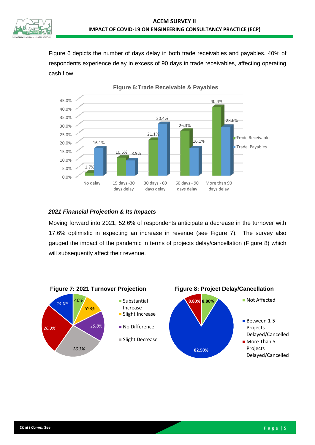

Figure 6 depicts the number of days delay in both trade receivables and payables. 40% of respondents experience delay in excess of 90 days in trade receivables, affecting operating cash flow.



**Figure 6:Trade Receivable & Payables**

# *2021 Financial Projection & Its Impacts*

Moving forward into 2021, 52.6% of respondents anticipate a decrease in the turnover with 17.6% optimistic in expecting an increase in revenue (see Figure 7). The survey also gauged the impact of the pandemic in terms of projects delay/cancellation (Figure 8) which will subsequently affect their revenue.

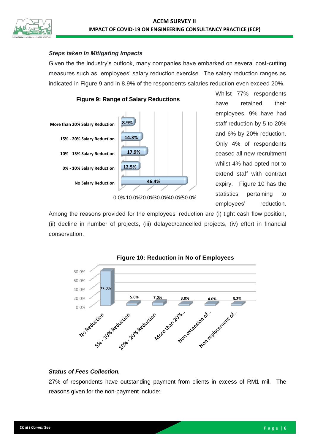

#### *Steps taken In Mitigating Impacts*

Given the the industry's outlook, many companies have embarked on several cost-cutting measures such as employees' salary reduction exercise. The salary reduction ranges as indicated in Figure 9 and in 8.9% of the respondents salaries reduction even exceed 20%.



Whilst 77% respondents have retained their employees, 9% have had staff reduction by 5 to 20% and 6% by 20% reduction. Only 4% of respondents ceased all new recruitment whilst 4% had opted not to extend staff with contract expiry. Figure 10 has the statistics pertaining to employees' reduction.

0.0% 10.0%20.0%30.0%40.0%50.0%

Among the reasons provided for the employees' reduction are (i) tight cash flow position, (ii) decline in number of projects, (iii) delayed/cancelled projects, (iv) effort in financial conservation.





## *Status of Fees Collection.*

27% of respondents have outstanding payment from clients in excess of RM1 mil. The reasons given for the non-payment include: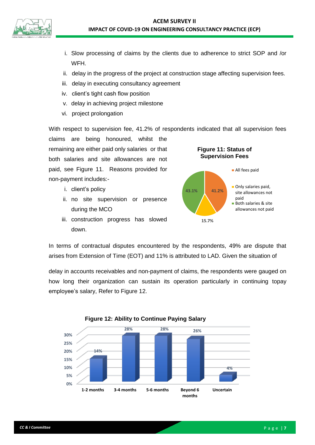

- i. Slow processing of claims by the clients due to adherence to strict SOP and /or WFH.
- ii. delay in the progress of the project at construction stage affecting supervision fees.
- iii. delay in executing consultancy agreement
- iv. client's tight cash flow position
- v. delay in achieving project milestone
- vi. project prolongation

With respect to supervision fee, 41.2% of respondents indicated that all supervision fees

claims are being honoured, whilst the remaining are either paid only salaries or that both salaries and site allowances are not paid, see Figure 11. Reasons provided for non-payment includes:-

- i. client's policy
- ii. no site supervision or presence during the MCO
- iii. construction progress has slowed down.





In terms of contractual disputes encountered by the respondents, 49% are dispute that arises from Extension of Time (EOT) and 11% is attributed to LAD. Given the situation of

delay in accounts receivables and non-payment of claims, the respondents were gauged on how long their organization can sustain its operation particularly in continuing topay employee's salary, Refer to Figure 12.



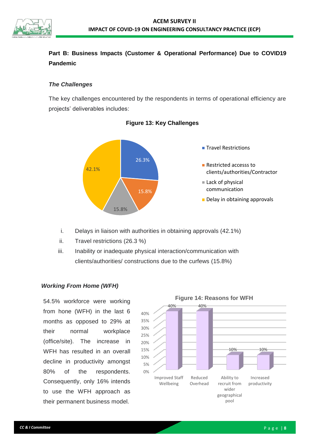

# **Part B: Business Impacts (Customer & Operational Performance) Due to COVID19 Pandemic**

## *The Challenges*

The key challenges encountered by the respondents in terms of operational efficiency are projects' deliverables includes:





- i. Delays in liaison with authorities in obtaining approvals (42.1%)
- ii. Travel restrictions (26.3 %)
- iii. Inability or inadequate physical interaction/communication with clients/authorities/ constructions due to the curfews (15.8%)

## *Working From Home (WFH)*

54.5% workforce were working from hone (WFH) in the last 6 months as opposed to 29% at their normal workplace (office/site). The increase in WFH has resulted in an overall decline in productivity amongst 80% of the respondents. Consequently, only 16% intends to use the WFH approach as their permanent business model.

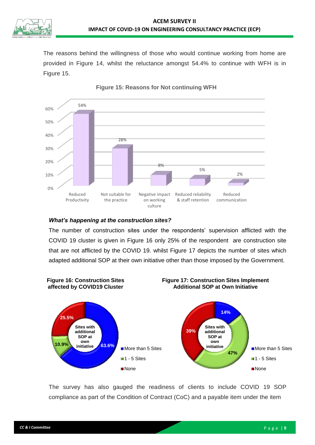

The reasons behind the willingness of those who would continue working from home are provided in Figure 14, whilst the reluctance amongst 54.4% to continue with WFH is in Figure 15.



### **Figure 15: Reasons for Not continuing WFH**

## *What's happening at the construction sites?*

The number of construction sites under the respondents' supervision afflicted with the COVID 19 cluster is given in Figure 16 only 25% of the respondent are construction site that are not afflicted by the COVID 19. whilst Figure 17 depicts the number of sites which adapted additional SOP at their own initiative other than those imposed by the Government.



The survey has also gauged the readiness of clients to include COVID 19 SOP compliance as part of the Condition of Contract (CoC) and a payable item under the item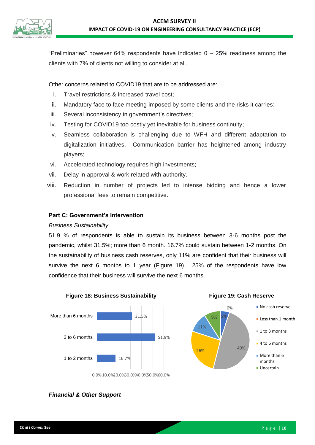

"Preliminaries" however 64% respondents have indicated  $0 - 25%$  readiness among the clients with 7% of clients not willing to consider at all.

Other concerns related to COVID19 that are to be addressed are:

- i. Travel restrictions & increased travel cost;
- ii. Mandatory face to face meeting imposed by some clients and the risks it carries;
- iii. Several inconsistency in government's directives;
- iv. Testing for COVID19 too costly yet inevitable for business continuity;
- v. Seamless collaboration is challenging due to WFH and different adaptation to digitalization initiatives. Communication barrier has heightened among industry players;
- vi. Accelerated technology requires high investments;
- vii. Delay in approval & work related with authority.
- viii. Reduction in number of projects led to intense bidding and hence a lower professional fees to remain competitive.

## **Part C: Government's Intervention**

## *Business Sustainability*

51.9 % of respondents is able to sustain its business between 3-6 months post the pandemic, whilst 31.5%; more than 6 month. 16.7% could sustain between 1-2 months. On the sustainability of business cash reserves, only 11% are confident that their business will survive the next 6 months to 1 year (Figure 19). 25% of the respondents have low confidence that their business will survive the next 6 months.



**Figure 19: Cash Reserve**



*Financial & Other Support*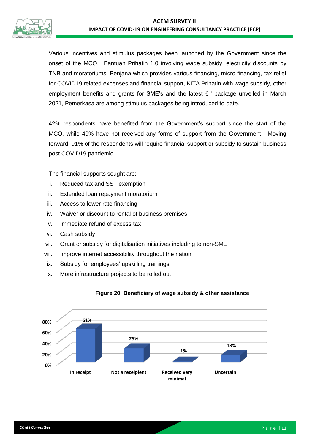

Various incentives and stimulus packages been launched by the Government since the onset of the MCO. Bantuan Prihatin 1.0 involving wage subsidy, electricity discounts by TNB and moratoriums, Penjana which provides various financing, micro-financing, tax relief for COVID19 related expenses and financial support, KITA Prihatin with wage subsidy, other employment benefits and grants for SME's and the latest  $6<sup>th</sup>$  package unveiled in March 2021, Pemerkasa are among stimulus packages being introduced to-date.

42% respondents have benefited from the Government's support since the start of the MCO, while 49% have not received any forms of support from the Government. Moving forward, 91% of the respondents will require financial support or subsidy to sustain business post COVID19 pandemic.

The financial supports sought are:

- i. Reduced tax and SST exemption
- ii. Extended loan repayment moratorium
- iii. Access to lower rate financing
- iv. Waiver or discount to rental of business premises
- v. Immediate refund of excess tax
- vi. Cash subsidy
- vii. Grant or subsidy for digitalisation initiatives including to non-SME
- viii. Improve internet accessibility throughout the nation
- ix. Subsidy for employees' upskilling trainings
- x. More infrastructure projects to be rolled out.



## **Figure 20: Beneficiary of wage subsidy & other assistance**